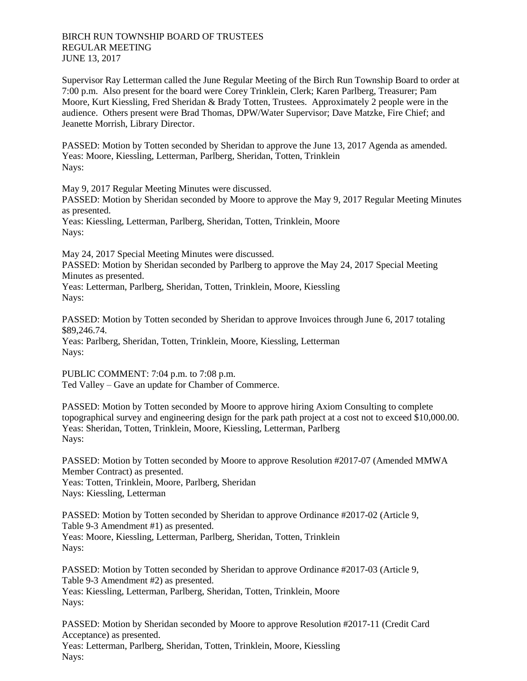Supervisor Ray Letterman called the June Regular Meeting of the Birch Run Township Board to order at 7:00 p.m. Also present for the board were Corey Trinklein, Clerk; Karen Parlberg, Treasurer; Pam Moore, Kurt Kiessling, Fred Sheridan & Brady Totten, Trustees. Approximately 2 people were in the audience. Others present were Brad Thomas, DPW/Water Supervisor; Dave Matzke, Fire Chief; and Jeanette Morrish, Library Director.

PASSED: Motion by Totten seconded by Sheridan to approve the June 13, 2017 Agenda as amended. Yeas: Moore, Kiessling, Letterman, Parlberg, Sheridan, Totten, Trinklein Nays:

May 9, 2017 Regular Meeting Minutes were discussed.

PASSED: Motion by Sheridan seconded by Moore to approve the May 9, 2017 Regular Meeting Minutes as presented.

Yeas: Kiessling, Letterman, Parlberg, Sheridan, Totten, Trinklein, Moore Nays:

May 24, 2017 Special Meeting Minutes were discussed.

PASSED: Motion by Sheridan seconded by Parlberg to approve the May 24, 2017 Special Meeting Minutes as presented.

Yeas: Letterman, Parlberg, Sheridan, Totten, Trinklein, Moore, Kiessling Nays:

PASSED: Motion by Totten seconded by Sheridan to approve Invoices through June 6, 2017 totaling \$89,246.74.

Yeas: Parlberg, Sheridan, Totten, Trinklein, Moore, Kiessling, Letterman Nays:

PUBLIC COMMENT: 7:04 p.m. to 7:08 p.m. Ted Valley – Gave an update for Chamber of Commerce.

PASSED: Motion by Totten seconded by Moore to approve hiring Axiom Consulting to complete topographical survey and engineering design for the park path project at a cost not to exceed \$10,000.00. Yeas: Sheridan, Totten, Trinklein, Moore, Kiessling, Letterman, Parlberg Nays:

PASSED: Motion by Totten seconded by Moore to approve Resolution #2017-07 (Amended MMWA Member Contract) as presented. Yeas: Totten, Trinklein, Moore, Parlberg, Sheridan

Nays: Kiessling, Letterman

PASSED: Motion by Totten seconded by Sheridan to approve Ordinance #2017-02 (Article 9, Table 9-3 Amendment #1) as presented. Yeas: Moore, Kiessling, Letterman, Parlberg, Sheridan, Totten, Trinklein Nays:

PASSED: Motion by Totten seconded by Sheridan to approve Ordinance #2017-03 (Article 9, Table 9-3 Amendment #2) as presented. Yeas: Kiessling, Letterman, Parlberg, Sheridan, Totten, Trinklein, Moore Nays:

PASSED: Motion by Sheridan seconded by Moore to approve Resolution #2017-11 (Credit Card Acceptance) as presented. Yeas: Letterman, Parlberg, Sheridan, Totten, Trinklein, Moore, Kiessling Nays: